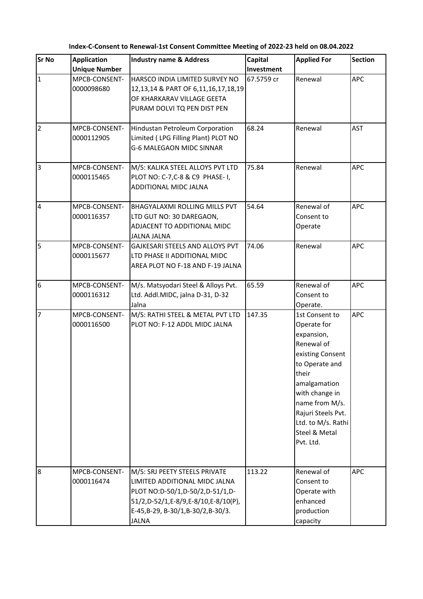**Index-C-Consent to Renewal-1st Consent Committee Meeting of 2022-23 held on 08.04.2022**

| <b>Sr No</b>   | <b>Application</b>   | <b>Industry name &amp; Address</b>             | <b>Capital</b> | <b>Applied For</b> | <b>Section</b> |
|----------------|----------------------|------------------------------------------------|----------------|--------------------|----------------|
|                | <b>Unique Number</b> |                                                | Investment     |                    |                |
| $\mathbf{1}$   | MPCB-CONSENT-        | HARSCO INDIA LIMITED SURVEY NO                 | 67.5759 cr     | Renewal            | <b>APC</b>     |
|                | 0000098680           | 12,13,14 & PART OF 6,11,16,17,18,19            |                |                    |                |
|                |                      | OF KHARKARAV VILLAGE GEETA                     |                |                    |                |
|                |                      | PURAM DOLVI TQ PEN DIST PEN                    |                |                    |                |
| $\overline{2}$ | MPCB-CONSENT-        | Hindustan Petroleum Corporation                | 68.24          | Renewal            | <b>AST</b>     |
|                | 0000112905           | Limited (LPG Filling Plant) PLOT NO            |                |                    |                |
|                |                      | <b>G-6 MALEGAON MIDC SINNAR</b>                |                |                    |                |
| $\overline{3}$ | MPCB-CONSENT-        | M/S: KALIKA STEEL ALLOYS PVT LTD               | 75.84          | Renewal            | <b>APC</b>     |
|                | 0000115465           | PLOT NO: C-7,C-8 & C9 PHASE-1,                 |                |                    |                |
|                |                      | ADDITIONAL MIDC JALNA                          |                |                    |                |
| $\overline{4}$ | MPCB-CONSENT-        | BHAGYALAXMI ROLLING MILLS PVT                  | 54.64          | Renewal of         | <b>APC</b>     |
|                | 0000116357           | LTD GUT NO: 30 DAREGAON,                       |                | Consent to         |                |
|                |                      | ADJACENT TO ADDITIONAL MIDC                    |                | Operate            |                |
| 5              | MPCB-CONSENT-        | JALNA JALNA<br>GAJKESARI STEELS AND ALLOYS PVT | 74.06          | Renewal            | <b>APC</b>     |
|                | 0000115677           | LTD PHASE II ADDITIONAL MIDC                   |                |                    |                |
|                |                      | AREA PLOT NO F-18 AND F-19 JALNA               |                |                    |                |
| 6              | MPCB-CONSENT-        | M/s. Matsyodari Steel & Alloys Pvt.            | 65.59          | Renewal of         | <b>APC</b>     |
|                | 0000116312           | Ltd. Addl.MIDC, jalna D-31, D-32               |                | Consent to         |                |
|                |                      | Jalna                                          |                | Operate.           |                |
| $\overline{7}$ | MPCB-CONSENT-        | M/S: RATHI STEEL & METAL PVT LTD               | 147.35         | 1st Consent to     | <b>APC</b>     |
|                | 0000116500           | PLOT NO: F-12 ADDL MIDC JALNA                  |                | Operate for        |                |
|                |                      |                                                |                | expansion,         |                |
|                |                      |                                                |                | Renewal of         |                |
|                |                      |                                                |                | existing Consent   |                |
|                |                      |                                                |                | to Operate and     |                |
|                |                      |                                                |                | their              |                |
|                |                      |                                                |                | amalgamation       |                |
|                |                      |                                                |                | with change in     |                |
|                |                      |                                                |                | name from M/s.     |                |
|                |                      |                                                |                | Rajuri Steels Pvt. |                |
|                |                      |                                                |                | Ltd. to M/s. Rathi |                |
|                |                      |                                                |                | Steel & Metal      |                |
|                |                      |                                                |                | Pvt. Ltd.          |                |
|                |                      |                                                |                |                    |                |
| 8              | MPCB-CONSENT-        | M/S: SRJ PEETY STEELS PRIVATE                  | 113.22         | Renewal of         | <b>APC</b>     |
|                | 0000116474           | LIMITED ADDITIONAL MIDC JALNA                  |                | Consent to         |                |
|                |                      | PLOT NO:D-50/1,D-50/2,D-51/1,D-                |                | Operate with       |                |
|                |                      | 51/2,D-52/1,E-8/9,E-8/10,E-8/10(P),            |                | enhanced           |                |
|                |                      | E-45, B-29, B-30/1, B-30/2, B-30/3.            |                | production         |                |
|                |                      | <b>JALNA</b>                                   |                | capacity           |                |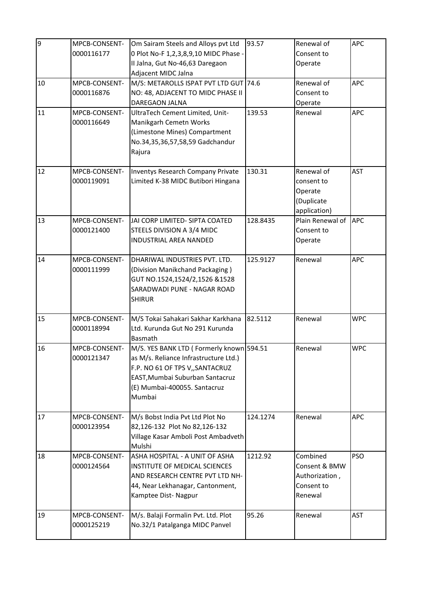| 9  | MPCB-CONSENT-<br>0000116177 | Om Sairam Steels and Alloys pvt Ltd<br>0 Plot No-F 1,2,3,8,9,10 MIDC Phase -<br>II Jalna, Gut No-46,63 Daregaon<br>Adjacent MIDC Jalna                                                             | 93.57    | Renewal of<br>Consent to<br>Operate                                  | <b>APC</b> |
|----|-----------------------------|----------------------------------------------------------------------------------------------------------------------------------------------------------------------------------------------------|----------|----------------------------------------------------------------------|------------|
| 10 | MPCB-CONSENT-<br>0000116876 | M/S: METAROLLS ISPAT PVT LTD GUT 74.6<br>NO: 48, ADJACENT TO MIDC PHASE II<br>DAREGAON JALNA                                                                                                       |          | Renewal of<br>Consent to<br>Operate                                  | <b>APC</b> |
| 11 | MPCB-CONSENT-<br>0000116649 | UltraTech Cement Limited, Unit-<br>Manikgarh Cemetn Works<br>(Limestone Mines) Compartment<br>No.34,35,36,57,58,59 Gadchandur<br>Rajura                                                            | 139.53   | Renewal                                                              | <b>APC</b> |
| 12 | MPCB-CONSENT-<br>0000119091 | <b>Inventys Research Company Private</b><br>Limited K-38 MIDC Butibori Hingana                                                                                                                     | 130.31   | Renewal of<br>consent to<br>Operate<br>(Duplicate<br>application)    | <b>AST</b> |
| 13 | MPCB-CONSENT-<br>0000121400 | JAI CORP LIMITED- SIPTA COATED<br>STEELS DIVISION A 3/4 MIDC<br><b>INDUSTRIAL AREA NANDED</b>                                                                                                      | 128.8435 | Plain Renewal of APC<br>Consent to<br>Operate                        |            |
| 14 | MPCB-CONSENT-<br>0000111999 | DHARIWAL INDUSTRIES PVT. LTD.<br>(Division Manikchand Packaging)<br>GUT NO.1524,1524/2,1526 &1528<br>SARADWADI PUNE - NAGAR ROAD<br><b>SHIRUR</b>                                                  | 125.9127 | Renewal                                                              | <b>APC</b> |
| 15 | MPCB-CONSENT-<br>0000118994 | M/S Tokai Sahakari Sakhar Karkhana<br>Ltd. Kurunda Gut No 291 Kurunda<br>Basmath                                                                                                                   | 82.5112  | Renewal                                                              | <b>WPC</b> |
| 16 | MPCB-CONSENT-<br>0000121347 | M/S. YES BANK LTD ( Formerly known 594.51<br>as M/s. Reliance Infrastructure Ltd.)<br>F.P. NO 61 OF TPS V,, SANTACRUZ<br>EAST, Mumbai Suburban Santacruz<br>(E) Mumbai-400055. Santacruz<br>Mumbai |          | Renewal                                                              | <b>WPC</b> |
| 17 | MPCB-CONSENT-<br>0000123954 | M/s Bobst India Pvt Ltd Plot No<br>82,126-132 Plot No 82,126-132<br>Village Kasar Amboli Post Ambadveth<br>Mulshi                                                                                  | 124.1274 | Renewal                                                              | <b>APC</b> |
| 18 | MPCB-CONSENT-<br>0000124564 | ASHA HOSPITAL - A UNIT OF ASHA<br>INSTITUTE OF MEDICAL SCIENCES<br>AND RESEARCH CENTRE PVT LTD NH-<br>44, Near Lekhanagar, Cantonment,<br>Kamptee Dist-Nagpur                                      | 1212.92  | Combined<br>Consent & BMW<br>Authorization,<br>Consent to<br>Renewal | <b>PSO</b> |
| 19 | MPCB-CONSENT-<br>0000125219 | M/s. Balaji Formalin Pvt. Ltd. Plot<br>No.32/1 Patalganga MIDC Panvel                                                                                                                              | 95.26    | Renewal                                                              | <b>AST</b> |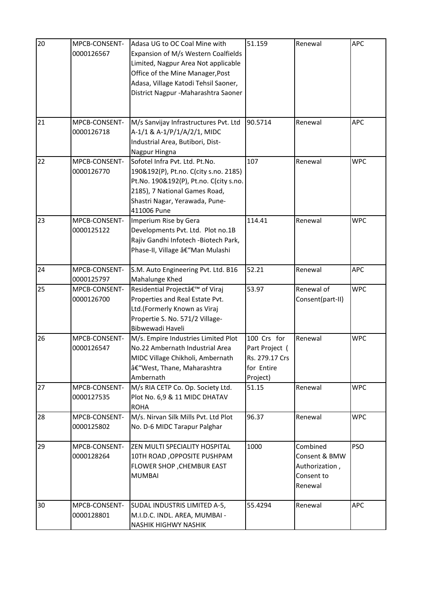| 20 | MPCB-CONSENT-<br>0000126567 | Adasa UG to OC Coal Mine with<br>Expansion of M/s Western Coalfields<br>Limited, Nagpur Area Not applicable<br>Office of the Mine Manager, Post<br>Adasa, Village Katodi Tehsil Saoner,<br>District Nagpur - Maharashtra Saoner | 51.159                                                                    | Renewal                                                              | <b>APC</b> |
|----|-----------------------------|---------------------------------------------------------------------------------------------------------------------------------------------------------------------------------------------------------------------------------|---------------------------------------------------------------------------|----------------------------------------------------------------------|------------|
| 21 | MPCB-CONSENT-<br>0000126718 | M/s Sanvijay Infrastructures Pvt. Ltd<br>A-1/1 & A-1/P/1/A/2/1, MIDC<br>Industrial Area, Butibori, Dist-<br>Nagpur Hingna                                                                                                       | 90.5714                                                                   | Renewal                                                              | <b>APC</b> |
| 22 | MPCB-CONSENT-<br>0000126770 | Sofotel Infra Pvt. Ltd. Pt.No.<br>190&192(P), Pt.no. C(city s.no. 2185)<br>Pt.No. 190&192(P), Pt.no. C(city s.no.<br>2185), 7 National Games Road,<br>Shastri Nagar, Yerawada, Pune-<br>411006 Pune                             | 107                                                                       | Renewal                                                              | <b>WPC</b> |
| 23 | MPCB-CONSENT-<br>0000125122 | Imperium Rise by Gera<br>Developments Pvt. Ltd. Plot no.1B<br>Rajiv Gandhi Infotech - Biotech Park,<br>Phase-II, Village â€"Man Mulashi                                                                                         | 114.41                                                                    | Renewal                                                              | <b>WPC</b> |
| 24 | MPCB-CONSENT-<br>0000125797 | S.M. Auto Engineering Pvt. Ltd. B16<br>Mahalunge Khed                                                                                                                                                                           | 52.21                                                                     | Renewal                                                              | APC        |
| 25 | MPCB-CONSENT-<br>0000126700 | Residential Project' of Viraj<br>Properties and Real Estate Pvt.<br>Ltd.(Formerly Known as Viraj<br>Propertie S. No. 571/2 Village-<br>Bibwewadi Haveli                                                                         | 53.97                                                                     | Renewal of<br>Consent(part-II)                                       | <b>WPC</b> |
| 26 | MPCB-CONSENT-<br>0000126547 | M/s. Empire Industries Limited Plot<br>No.22 Ambernath Industrial Area<br>MIDC Village Chikholi, Ambernath<br>â€"West, Thane, Maharashtra<br>Ambernath                                                                          | 100 Crs for<br>Part Project (<br>Rs. 279.17 Crs<br>for Entire<br>Project) | Renewal                                                              | <b>WPC</b> |
| 27 | MPCB-CONSENT-<br>0000127535 | M/s RIA CETP Co. Op. Society Ltd.<br>Plot No. 6,9 & 11 MIDC DHATAV<br><b>ROHA</b>                                                                                                                                               | 51.15                                                                     | Renewal                                                              | <b>WPC</b> |
| 28 | MPCB-CONSENT-<br>0000125802 | M/s. Nirvan Silk Mills Pvt. Ltd Plot<br>No. D-6 MIDC Tarapur Palghar                                                                                                                                                            | 96.37                                                                     | Renewal                                                              | <b>WPC</b> |
| 29 | MPCB-CONSENT-<br>0000128264 | ZEN MULTI SPECIALITY HOSPITAL<br>10TH ROAD, OPPOSITE PUSHPAM<br>FLOWER SHOP, CHEMBUR EAST<br><b>MUMBAI</b>                                                                                                                      | 1000                                                                      | Combined<br>Consent & BMW<br>Authorization,<br>Consent to<br>Renewal | <b>PSO</b> |
| 30 | MPCB-CONSENT-<br>0000128801 | SUDAL INDUSTRIS LIMITED A-5,<br>M.I.D.C. INDL. AREA, MUMBAI -<br>NASHIK HIGHWY NASHIK                                                                                                                                           | 55.4294                                                                   | Renewal                                                              | <b>APC</b> |